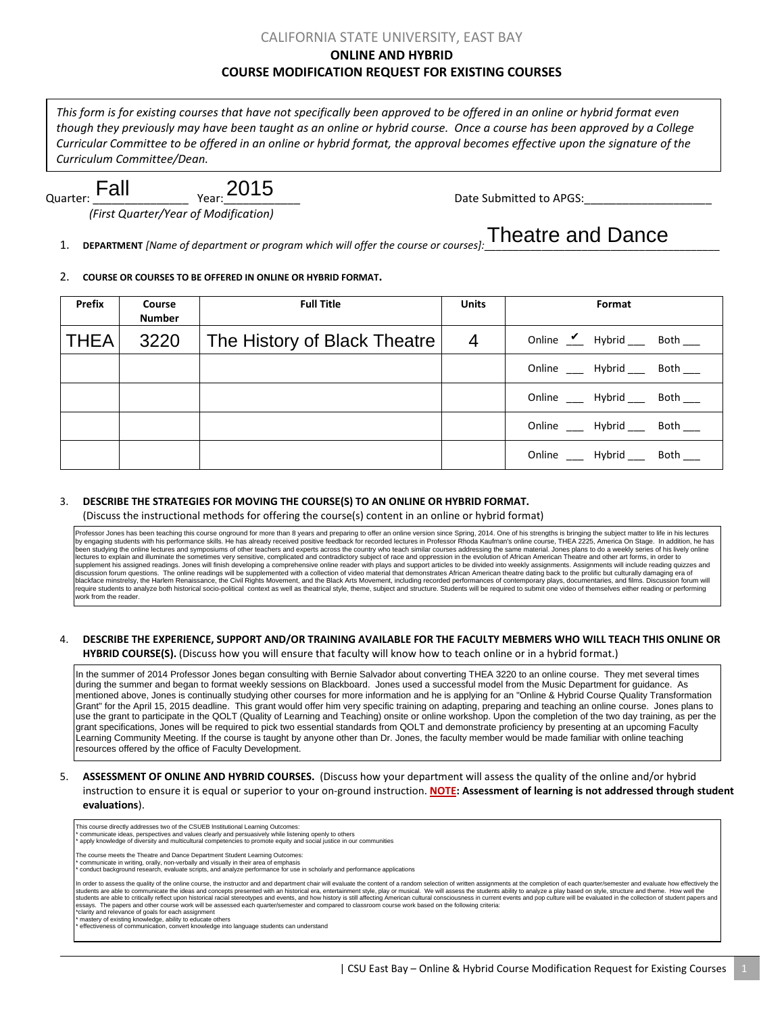### CALIFORNIA STATE UNIVERSITY, EAST BAY **ONLINE AND HYBRID COURSE MODIFICATION REQUEST FOR EXISTING COURSES**

*This form is for existing courses that have not specifically been approved to be offered in an online or hybrid format even though they previously may have been taught as an online or hybrid course. Once a course has been approved by a College Curricular Committee to be offered in an online or hybrid format, the approval becomes effective upon the signature of the Curriculum Committee/Dean.*

# $_{Year}$  2015

Quarter: \_\_\_\_\_\_\_\_\_\_\_\_\_\_\_Year:\_\_\_\_\_\_\_\_\_\_\_\_ Date Submitted to APGS:\_\_\_\_\_\_\_\_\_\_\_\_\_\_\_\_\_\_\_\_

*(First Quarter/Year of Modification)*

1. **DEPARTMENT** [Name of department or program which will offer the course or courses]. Theatre and Dance

#### 2. **COURSE OR COURSES TO BE OFFERED IN ONLINE OR HYBRID FORMAT.**

| Prefix      | Course<br><b>Number</b> | <b>Full Title</b>            | <b>Units</b> | Format                              |
|-------------|-------------------------|------------------------------|--------------|-------------------------------------|
| <b>THEA</b> | 3220                    | The History of Black Theatre | 4            | Online $\angle$ Hybrid ___ Both ___ |
|             |                         |                              |              | Online ____ Hybrid ____ Both ___    |
|             |                         |                              |              | Online Hybrid<br>Both               |
|             |                         |                              |              | Online Hybrid<br>Both               |
|             |                         |                              |              | Online _____ Hybrid _____ Both ___  |

#### 3. **DESCRIBE THE STRATEGIES FOR MOVING THE COURSE(S) TO AN ONLINE OR HYBRID FORMAT.**

(Discuss the instructional methods for offering the course(s) content in an online or hybrid format)

Professor Jones has been teaching this course onground for more than 8 years and preparing to offer an online version since Spring, 2014. One of his strengths is bringing the subject matter to life in his lectures<br>by engag en studying the online lectures and symposiums of other teachers and experts across the country who teach similar courses addressing the same material. Jones plans to do a weekly series of his lively online lectures to explain and illuminate the sometimes very sensitive, complicated and contradictory subject of race and oppression in the evolution of African American Theatre and other art forms, in order to<br>supplement his ass require students to analyze both historical socio-political context as well as theatrical style, theme, subject and structure. Students will be required to submit one video of themselves either reading or performing work from the reader.

## 4. **DESCRIBE THE EXPERIENCE, SUPPORT AND/OR TRAINING AVAILABLE FOR THE FACULTY MEBMERS WHO WILL TEACH THIS ONLINE OR**

**HYBRID COURSE(S).** (Discuss how you will ensure that faculty will know how to teach online or in a hybrid format.)

In the summer of 2014 Professor Jones began consulting with Bernie Salvador about converting THEA 3220 to an online course. They met several times during the summer and began to format weekly sessions on Blackboard. Jones used a successful model from the Music Department for guidance. As mentioned above, Jones is continually studying other courses for more information and he is applying for an "Online & Hybrid Course Quality Transformation Grant" for the April 15, 2015 deadline. This grant would offer him very specific training on adapting, preparing and teaching an online course. Jones plans to use the grant to participate in the QOLT (Quality of Learning and Teaching) onsite or online workshop. Upon the completion of the two day training, as per the grant specifications, Jones will be required to pick two essential standards from QOLT and demonstrate proficiency by presenting at an upcoming Faculty Learning Community Meeting. If the course is taught by anyone other than Dr. Jones, the faculty member would be made familiar with online teaching resources offered by the office of Faculty Development.

5. **ASSESSMENT OF ONLINE AND HYBRID COURSES.** (Discuss how your department will assess the quality of the online and/or hybrid instruction to ensure it is equal or superior to your on-ground instruction. **NOTE: Assessment of learning is not addressed through student evaluations**).

| This course directly addresses two of the CSUEB Institutional Learning Outcomes:<br>* communicate ideas, perspectives and values clearly and persuasively while listening openly to others<br>* apply knowledge of diversity and multicultural competencies to promote equity and social justice in our communities                                                                                                                                                                                                                                                                                                                                                                                                                                                                                                                                                                                                                                                                                                                                                          |
|------------------------------------------------------------------------------------------------------------------------------------------------------------------------------------------------------------------------------------------------------------------------------------------------------------------------------------------------------------------------------------------------------------------------------------------------------------------------------------------------------------------------------------------------------------------------------------------------------------------------------------------------------------------------------------------------------------------------------------------------------------------------------------------------------------------------------------------------------------------------------------------------------------------------------------------------------------------------------------------------------------------------------------------------------------------------------|
| The course meets the Theatre and Dance Department Student Learning Outcomes:<br>* communicate in writing, orally, non-verbally and visually in their area of emphasis<br>* conduct background research, evaluate scripts, and analyze performance for use in scholarly and performance applications                                                                                                                                                                                                                                                                                                                                                                                                                                                                                                                                                                                                                                                                                                                                                                          |
| In order to assess the quality of the online course, the instructor and and department chair will evaluate the content of a random selection of written assignments at the completion of each quarter/semester and evaluate ho<br>students are able to communicate the ideas and concepts presented with an historical era, entertainment style, play or musical. We will assess the students ability to analyze a play based on style, structure and theme. How<br>students are able to critically reflect upon historical racial stereotypes and events, and how history is still affecting American cultural consciousness in current events and pop culture will be evaluated in the collectio<br>essays. The papers and other course work will be assessed each quarter/semester and compared to classroom course work based on the following criteria:<br>*clarity and relevance of goals for each assignment<br>* mastery of existing knowledge, ability to educate others<br>effectiveness of communication, convert knowledge into language students can understand |